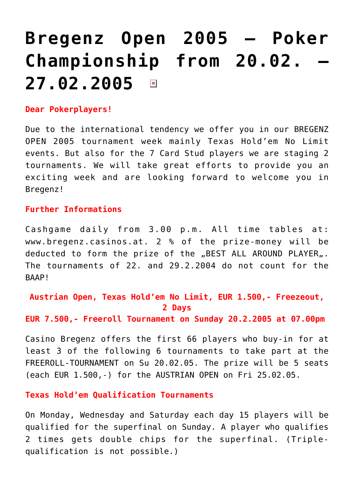## **[Bregenz Open 2005 – Poker](https://www.isa-guide.de/english-news/articles/8166.html)** Championship from 20.02. **[27.02.2005](https://www.isa-guide.de/english-news/articles/8166.html)**   $\pmb{\times}$

## **Dear Pokerplayers!**

Due to the international tendency we offer you in our BREGENZ OPEN 2005 tournament week mainly Texas Hold'em No Limit events. But also for the 7 Card Stud players we are staging 2 tournaments. We will take great efforts to provide you an exciting week and are looking forward to welcome you in Bregenz!

## **Further Informations**

Cashgame daily from 3.00 p.m. All time tables at: [www.bregenz.casinos.at.](http://www.bregenz.casinos.at) 2 % of the prize-money will be deducted to form the prize of the "BEST ALL AROUND PLAYER". The tournaments of 22. and 29.2.2004 do not count for the BAAP!

**Austrian Open, Texas Hold'em No Limit, EUR 1.500,- Freezeout, 2 Days**

**EUR 7.500,- Freeroll Tournament on Sunday 20.2.2005 at 07.00pm**

Casino Bregenz offers the first 66 players who buy-in for at least 3 of the following 6 tournaments to take part at the FREEROLL-TOURNAMENT on Su 20.02.05. The prize will be 5 seats (each EUR 1.500,-) for the AUSTRIAN OPEN on Fri 25.02.05.

**Texas Hold'em Qualification Tournaments**

On Monday, Wednesday and Saturday each day 15 players will be qualified for the superfinal on Sunday. A player who qualifies 2 times gets double chips for the superfinal. (Triplequalification is not possible.)